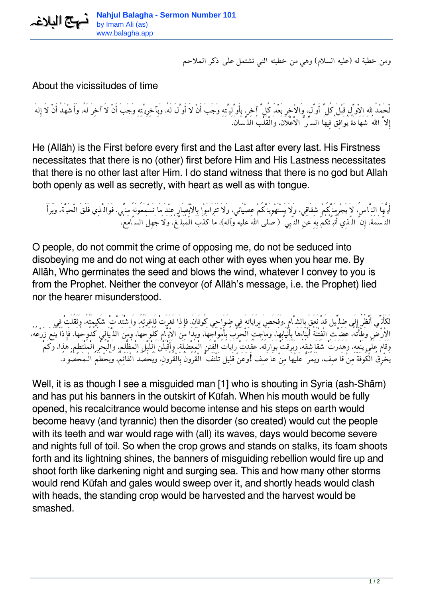*ومن خطبة له (عليه السلام) وهي من خطبته التي تشتمل على ذكر الملاحم*

## About the vicissitudes of time

*لْحَمْدُ اللهِ الاْوَّلِ قَبْلَ كُلِّ أَوِّل، وَالاْخِرِ بَعْدَ كُلِّ آخِر، بِأَوَّلِيَّتِهِ وَجَبَ أَنْ لاَ أَوَّلَ لَه،ُ وَبِآخِرِيَّتِهِ وَجَبَ أَنْ لاَ آخِرَ لَه،ُ وَأَشْهَدُ أَنْ لاَ إِلهَ إِلاَّ االلهُ شَهَادَةً يُوَافِقُ فِيهَا السِّرُّ الاْعْلاَن،َ وَالْقَلْبُ اللِّسَان.َ*

He (Allāh) is the First before every first and the Last after every last. His Firstness necessitates that there is no (other) first before Him and His Lastness necessitates that there is no other last after Him. I do stand witness that there is no god but Allah both openly as well as secretly, with heart as well as with tongue.

أَيُّهَا النِّاسُ، لاَ يَجْرِمَنَّكُمْ شِقَاقِي، وَلاَ يَسْتَهْوِيَنَّكُمْ عِصْيَانِي، وَلاَ تَتَرَامَوْا بِالاْبْصَارِ عِنْدَ مَا تَسْمِعُونَهُ مِنِّي. فَوَالَّذِي فَلَقَ الْحَبَّةَ، وَبَرَأَ *النَّسَمَة،َ إِنَّ الَّذِي أُنَبِّئُكُمْ بِهِ عَنِ النَّبِيِّ (صلى االله عليه وآله)، مَا كَذَبَ الْمُبَلِّغ،ُ وَلاَ جَهِلَ السَّامِع،ُ*

O people, do not commit the crime of opposing me, do not be seduced into disobeying me and do not wing at each other with eyes when you hear me. By Allāh, Who germinates the seed and blows the wind, whatever I convey to you is from the Prophet. Neither the conveyor (of Allāh's message, i.e. the Prophet) lied nor the hearer misunderstood.

لَكَأَنَّهِ أَنْظُرُ إِلَى ضِل<sub>ِّي</sub>ل قَدْ نَعَقَ بِالشَّامِ ،وَفَحَصِ بِرَايَاتِهَ فِي ضَوَاحِي كُوفَانَ. فإِذَا فَغَرَتْ فَاغِرَتُهُ، واَشْتَدَّتْ شَكِيمَتُهُ، وَثَقُلَتْ فِي *الاْرْضِ وَطْأَتُه،ُ عَضَّتِ الْفِتْنَةُ أَبْنَاءَهَا بِأَنْيَابِهَا، وَمَاجَتِ الْحَرْبُ بِأَمْوَاجِهَا، وَبَدَا مِنَ الاْيَّامِ كُلُوحُهَا، وَمِنَ اللَّيَالِي كُدُوحُهَا. فَإِذَا يَنَعَ زَرْعُه،ُ وَقَامَ عَلَى يَنْعِه،ِ وَهَدَرَتْ شَقَاشِقُه،ُ وَبَرَقَتْ بَوَارِقُه،ُ عُقِدَتْ رَايَاتُ الْفِتَنِ الْمُعْضِلَة،ِ وَأَقْبَلْنَ َالْلَيْلِ الْمُظْلِم،ِ وَالْبَحْرِ الْمُلْتَطِم.ِ هذا، وَكَمْ يَخْرِقُ الْكُوفَةَ مِنْ قَاصِف، وَيَمُرُّ عَليْهَا مِنْ عَاصِف !وَعَنْ قَلِيل تَلْتَفُّ الْقُرُونُ بِالْقُرُون،ِ وَيُحْصَدُ الْقَائِم،ُ وَيُحْطَمُ الْـمَحْصُود.ُ*

Well, it is as though I see a misguided man [1] who is shouting in Syria (ash-Shām) and has put his banners in the outskirt of Kūfah. When his mouth would be fully opened, his recalcitrance would become intense and his steps on earth would become heavy (and tyrannic) then the disorder (so created) would cut the people with its teeth and war would rage with (all) its waves, days would become severe and nights full of toil. So when the crop grows and stands on stalks, its foam shoots forth and its lightning shines, the banners of misguiding rebellion would fire up and shoot forth like darkening night and surging sea. This and how many other storms would rend Kūfah and gales would sweep over it, and shortly heads would clash with heads, the standing crop would be harvested and the harvest would be smashed.